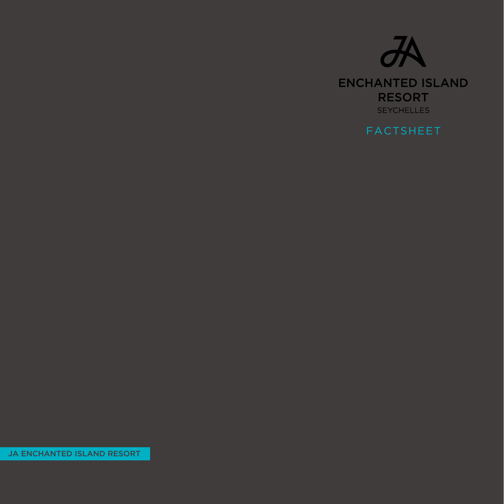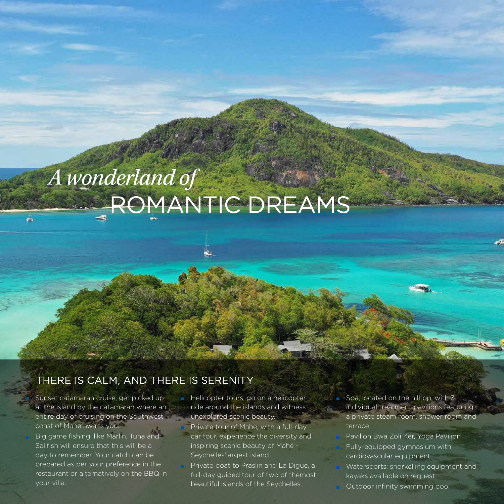# A wonderland of **ROMANTIC DREAMS**

### THERE IS CALM, AND THERE IS SERENITY

Sunset catamaran cruise, get picked up at the island by the catamaran where an entire day of cruising on the Southwest coast of Mahe awaits you.

÷

Big game fishing: like Marlin, Tuna and Sailfish will ensure that this will be a day to remember. Your catch can be prepared as per your preference in the restaurant or alternatively on the BBQ in your villa.

- Helicopter tours, go on a helicopter ride around the islands and witness unexplored scenic beauty.
	- Private tour of Mahe, with a full-day car tour, experience the diversity and inspiring scenic beauty of Mahé - Seychelles'largest island.

Private boat to Praslin and La Digue, a full-day guided tour of two of themost beautiful islands of the Seychelles.

- Spa, located on the hilltop, with 3 individual treatment pavilions featuring a private steam room, shower room and terrace
	- Pavilion Bwa Zoli Ker, Yoga Pavilion
	- Fully-equipped gymnasium with cardiovascular equipment
	- Watersports: snorkelling equipment and kayaks available on request
	- Outdoor infinity swimming pool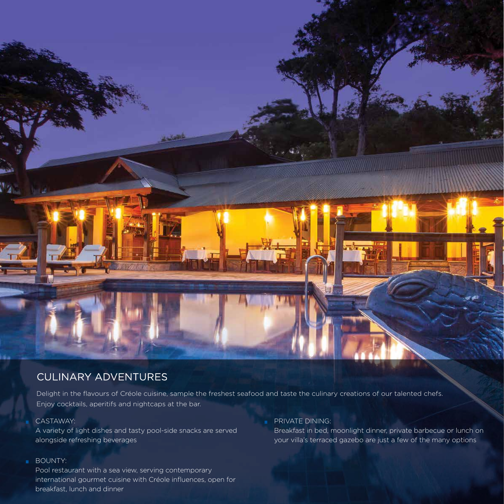

## **CULINARY ADVENTURES**

Delight in the flavours of Créole cuisine, sample the freshest seafood and taste the culinary creations of our talented chefs. Enjoy cocktails, aperitifs and nightcaps at the bar.

#### CASTAWAY:

A variety of light dishes and tasty pool-side snacks are served alongside refreshing beverages

#### **PRIVATE DINING:**

Breakfast in bed, moonlight dinner, private barbecue or lunch on your villa's terraced gazebo are just a few of the many options

#### **BOUNTY:**

Pool restaurant with a sea view, serving contemporary international gourmet cuisine with Créole influences, open for breakfast, lunch and dinner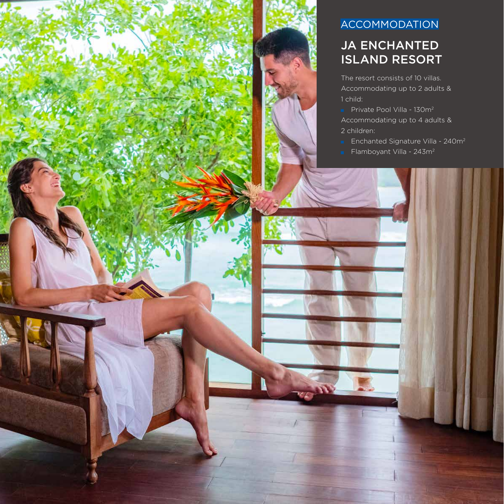

## ACCOMMODATION

## JA ENCHANTED ISLAND RESORT

The resort consists of 10 villas. Accommodating up to 2 adults &

**Private Pool Villa - 130m<sup>2</sup>** Accommodating up to 4 adults &

- **Enchanted Signature Villa 240m<sup>2</sup>**
- **Flamboyant Villa 243m**<sup>2</sup>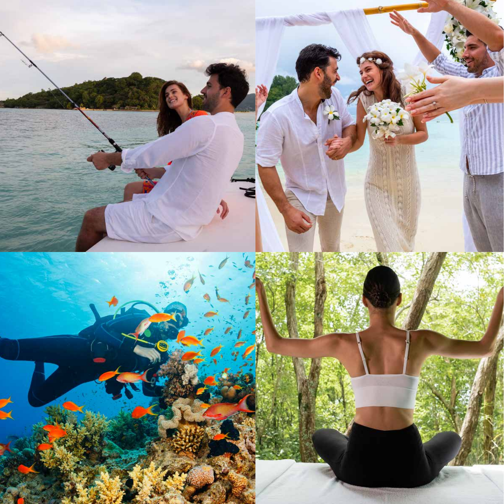